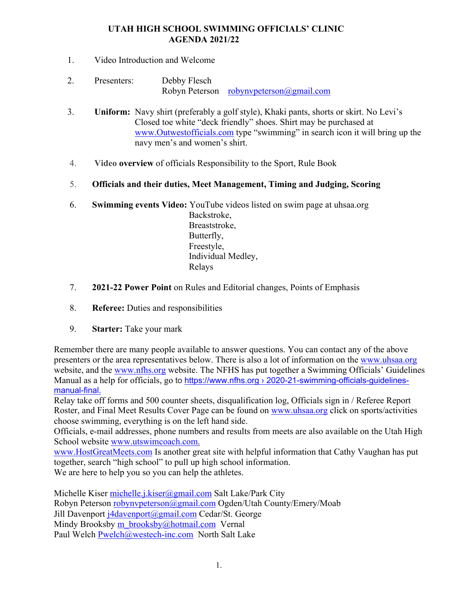### **UTAH HIGH SCHOOL SWIMMING OFFICIALS' CLINIC AGENDA 2021/22**

- 1. Video Introduction and Welcome
- 2. Presenters: Debby Flesch Robyn Peterson robynvpeterson@gmail.com
- 3. **Uniform:** Navy shirt (preferably a golf style), Khaki pants, shorts or skirt. No Levi's Closed toe white "deck friendly" shoes. Shirt may be purchased at www.Outwestofficials.com type "swimming" in search icon it will bring up the navy men's and women's shirt.
- 4. **Video overview** of officials Responsibility to the Sport, Rule Book
- 5. **Officials and their duties, Meet Management, Timing and Judging, Scoring**
- 6. **Swimming events Video:** YouTube videos listed on swim page at uhsaa.org Backstroke, Breaststroke, Butterfly, Freestyle, Individual Medley, Relays
- 7. **2021-22 Power Point** on Rules and Editorial changes, Points of Emphasis
- 8. **Referee:** Duties and responsibilities
- 9. **Starter:** Take your mark

Remember there are many people available to answer questions. You can contact any of the above presenters or the area representatives below. There is also a lot of information on the www.uhsaa.org website, and the www.nfhs.org website. The NFHS has put together a Swimming Officials' Guidelines Manual as a help for officials, go to https://www.nfhs.org > 2020-21-swimming-officials-guidelinesmanual-final.

Relay take off forms and 500 counter sheets, disqualification log, Officials sign in / Referee Report Roster, and Final Meet Results Cover Page can be found on www.uhsaa.org click on sports/activities choose swimming, everything is on the left hand side.

Officials, e-mail addresses, phone numbers and results from meets are also available on the Utah High School website www.utswimcoach.com.

www.HostGreatMeets.com Is another great site with helpful information that Cathy Vaughan has put together, search "high school" to pull up high school information. We are here to help you so you can help the athletes.

Michelle Kiser michelle.j.kiser@gmail.com Salt Lake/Park City Robyn Peterson robynvpeterson@gmail.com Ogden/Utah County/Emery/Moab Jill Davenport j4davenport@gmail.com Cedar/St. George Mindy Brooksby m\_brooksby@hotmail.com Vernal Paul Welch Pwelch@westech-inc.com North Salt Lake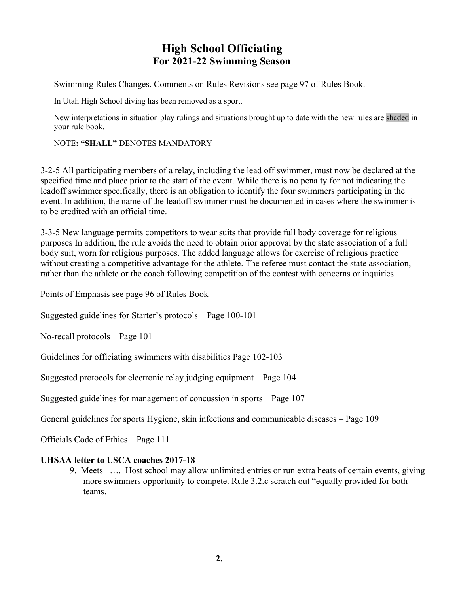# **High School Officiating For 2021-22 Swimming Season**

Swimming Rules Changes. Comments on Rules Revisions see page 97 of Rules Book.

In Utah High School diving has been removed as a sport.

New interpretations in situation play rulings and situations brought up to date with the new rules are shaded in your rule book.

#### NOTE**: "SHALL"** DENOTES MANDATORY

3-2-5 All participating members of a relay, including the lead off swimmer, must now be declared at the specified time and place prior to the start of the event. While there is no penalty for not indicating the leadoff swimmer specifically, there is an obligation to identify the four swimmers participating in the event. In addition, the name of the leadoff swimmer must be documented in cases where the swimmer is to be credited with an official time.

3-3-5 New language permits competitors to wear suits that provide full body coverage for religious purposes In addition, the rule avoids the need to obtain prior approval by the state association of a full body suit, worn for religious purposes. The added language allows for exercise of religious practice without creating a competitive advantage for the athlete. The referee must contact the state association, rather than the athlete or the coach following competition of the contest with concerns or inquiries.

Points of Emphasis see page 96 of Rules Book

Suggested guidelines for Starter's protocols – Page 100-101

No-recall protocols – Page 101

Guidelines for officiating swimmers with disabilities Page 102-103

Suggested protocols for electronic relay judging equipment – Page 104

Suggested guidelines for management of concussion in sports – Page 107

General guidelines for sports Hygiene, skin infections and communicable diseases – Page 109

Officials Code of Ethics – Page 111

#### **UHSAA letter to USCA coaches 2017-18**

9. Meets …. Host school may allow unlimited entries or run extra heats of certain events, giving more swimmers opportunity to compete. Rule 3.2.c scratch out "equally provided for both teams.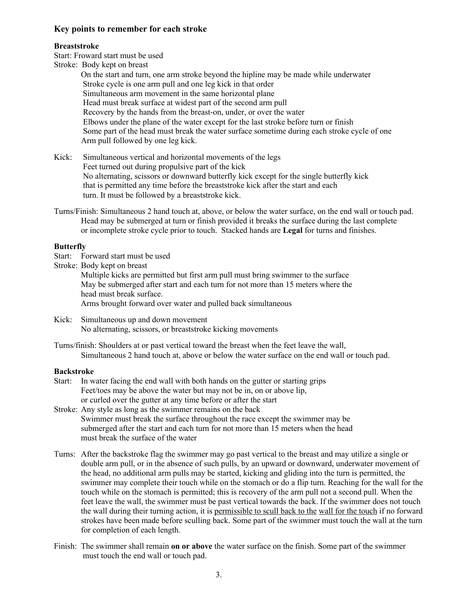#### **Key points to remember for each stroke**

#### **Breaststroke**

Start: Froward start must be used

Stroke: Body kept on breast On the start and turn, one arm stroke beyond the hipline may be made while underwater Stroke cycle is one arm pull and one leg kick in that order Simultaneous arm movement in the same horizontal plane Head must break surface at widest part of the second arm pull Recovery by the hands from the breast-on, under, or over the water Elbows under the plane of the water except for the last stroke before turn or finish Some part of the head must break the water surface sometime during each stroke cycle of one Arm pull followed by one leg kick.

Kick: Simultaneous vertical and horizontal movements of the legs Feet turned out during propulsive part of the kick No alternating, scissors or downward butterfly kick except for the single butterfly kick that is permitted any time before the breaststroke kick after the start and each turn. It must be followed by a breaststroke kick.

Turns/Finish: Simultaneous 2 hand touch at, above, or below the water surface, on the end wall or touch pad. Head may be submerged at turn or finish provided it breaks the surface during the last complete or incomplete stroke cycle prior to touch. Stacked hands are **Legal** for turns and finishes.

#### **Butterfly**

Start: Forward start must be used

Stroke: Body kept on breast Multiple kicks are permitted but first arm pull must bring swimmer to the surface May be submerged after start and each turn for not more than 15 meters where the head must break surface. Arms brought forward over water and pulled back simultaneous

Kick: Simultaneous up and down movement No alternating, scissors, or breaststroke kicking movements

Turns/finish: Shoulders at or past vertical toward the breast when the feet leave the wall, Simultaneous 2 hand touch at, above or below the water surface on the end wall or touch pad.

#### **Backstroke**

- Start: In water facing the end wall with both hands on the gutter or starting grips Feet/toes may be above the water but may not be in, on or above lip, or curled over the gutter at any time before or after the start
- Stroke: Any style as long as the swimmer remains on the back Swimmer must break the surface throughout the race except the swimmer may be submerged after the start and each turn for not more than 15 meters when the head must break the surface of the water
- Turns: After the backstroke flag the swimmer may go past vertical to the breast and may utilize a single or double arm pull, or in the absence of such pulls, by an upward or downward, underwater movement of the head, no additional arm pulls may be started, kicking and gliding into the turn is permitted, the swimmer may complete their touch while on the stomach or do a flip turn. Reaching for the wall for the touch while on the stomach is permitted; this is recovery of the arm pull not a second pull. When the feet leave the wall, the swimmer must be past vertical towards the back. If the swimmer does not touch the wall during their turning action, it is permissible to scull back to the wall for the touch if no forward strokes have been made before sculling back. Some part of the swimmer must touch the wall at the turn for completion of each length.
- Finish: The swimmer shall remain **on or above** the water surface on the finish. Some part of the swimmer must touch the end wall or touch pad.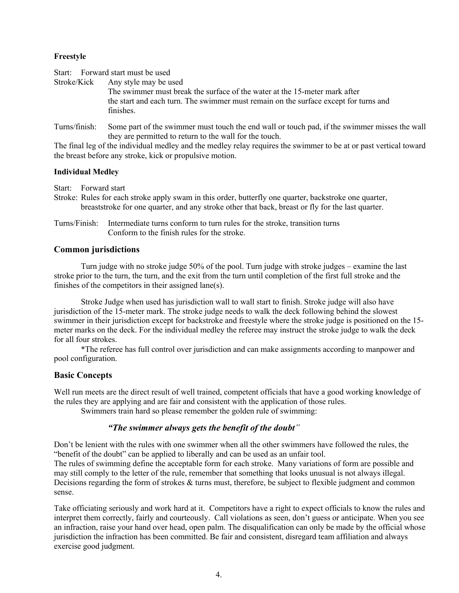#### **Freestyle**

Start: Forward start must be used Stroke/Kick Any style may be used The swimmer must break the surface of the water at the 15-meter mark after the start and each turn. The swimmer must remain on the surface except for turns and finishes.

Turns/finish: Some part of the swimmer must touch the end wall or touch pad, if the swimmer misses the wall they are permitted to return to the wall for the touch.

The final leg of the individual medley and the medley relay requires the swimmer to be at or past vertical toward the breast before any stroke, kick or propulsive motion.

#### **Individual Medley**

Start: Forward start

Stroke: Rules for each stroke apply swam in this order, butterfly one quarter, backstroke one quarter, breaststroke for one quarter, and any stroke other that back, breast or fly for the last quarter.

Turns/Finish: Intermediate turns conform to turn rules for the stroke, transition turns Conform to the finish rules for the stroke.

#### **Common jurisdictions**

Turn judge with no stroke judge 50% of the pool. Turn judge with stroke judges – examine the last stroke prior to the turn, the turn, and the exit from the turn until completion of the first full stroke and the finishes of the competitors in their assigned lane(s).

Stroke Judge when used has jurisdiction wall to wall start to finish. Stroke judge will also have jurisdiction of the 15-meter mark. The stroke judge needs to walk the deck following behind the slowest swimmer in their jurisdiction except for backstroke and freestyle where the stroke judge is positioned on the 15 meter marks on the deck. For the individual medley the referee may instruct the stroke judge to walk the deck for all four strokes.

\*The referee has full control over jurisdiction and can make assignments according to manpower and pool configuration.

#### **Basic Concepts**

Well run meets are the direct result of well trained, competent officials that have a good working knowledge of the rules they are applying and are fair and consistent with the application of those rules.

Swimmers train hard so please remember the golden rule of swimming:

#### *"The swimmer always gets the benefit of the doubt"*

Don't be lenient with the rules with one swimmer when all the other swimmers have followed the rules, the "benefit of the doubt" can be applied to liberally and can be used as an unfair tool.

The rules of swimming define the acceptable form for each stroke. Many variations of form are possible and may still comply to the letter of the rule, remember that something that looks unusual is not always illegal. Decisions regarding the form of strokes & turns must, therefore, be subject to flexible judgment and common sense.

Take officiating seriously and work hard at it. Competitors have a right to expect officials to know the rules and interpret them correctly, fairly and courteously. Call violations as seen, don't guess or anticipate. When you see an infraction, raise your hand over head, open palm. The disqualification can only be made by the official whose jurisdiction the infraction has been committed. Be fair and consistent, disregard team affiliation and always exercise good judgment.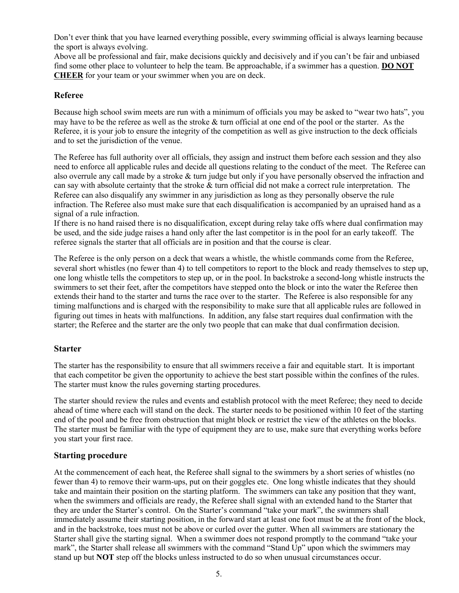Don't ever think that you have learned everything possible, every swimming official is always learning because the sport is always evolving.

Above all be professional and fair, make decisions quickly and decisively and if you can't be fair and unbiased find some other place to volunteer to help the team. Be approachable, if a swimmer has a question. **DO NOT CHEER** for your team or your swimmer when you are on deck.

#### **Referee**

Because high school swim meets are run with a minimum of officials you may be asked to "wear two hats", you may have to be the referee as well as the stroke & turn official at one end of the pool or the starter. As the Referee, it is your job to ensure the integrity of the competition as well as give instruction to the deck officials and to set the jurisdiction of the venue.

The Referee has full authority over all officials, they assign and instruct them before each session and they also need to enforce all applicable rules and decide all questions relating to the conduct of the meet. The Referee can also overrule any call made by a stroke & turn judge but only if you have personally observed the infraction and can say with absolute certainty that the stroke & turn official did not make a correct rule interpretation. The Referee can also disqualify any swimmer in any jurisdiction as long as they personally observe the rule infraction. The Referee also must make sure that each disqualification is accompanied by an upraised hand as a signal of a rule infraction.

If there is no hand raised there is no disqualification, except during relay take offs where dual confirmation may be used, and the side judge raises a hand only after the last competitor is in the pool for an early takeoff. The referee signals the starter that all officials are in position and that the course is clear.

The Referee is the only person on a deck that wears a whistle, the whistle commands come from the Referee, several short whistles (no fewer than 4) to tell competitors to report to the block and ready themselves to step up, one long whistle tells the competitors to step up, or in the pool. In backstroke a second-long whistle instructs the swimmers to set their feet, after the competitors have stepped onto the block or into the water the Referee then extends their hand to the starter and turns the race over to the starter. The Referee is also responsible for any timing malfunctions and is charged with the responsibility to make sure that all applicable rules are followed in figuring out times in heats with malfunctions. In addition, any false start requires dual confirmation with the starter; the Referee and the starter are the only two people that can make that dual confirmation decision.

#### **Starter**

The starter has the responsibility to ensure that all swimmers receive a fair and equitable start. It is important that each competitor be given the opportunity to achieve the best start possible within the confines of the rules. The starter must know the rules governing starting procedures.

The starter should review the rules and events and establish protocol with the meet Referee; they need to decide ahead of time where each will stand on the deck. The starter needs to be positioned within 10 feet of the starting end of the pool and be free from obstruction that might block or restrict the view of the athletes on the blocks. The starter must be familiar with the type of equipment they are to use, make sure that everything works before you start your first race.

#### **Starting procedure**

At the commencement of each heat, the Referee shall signal to the swimmers by a short series of whistles (no fewer than 4) to remove their warm-ups, put on their goggles etc. One long whistle indicates that they should take and maintain their position on the starting platform. The swimmers can take any position that they want, when the swimmers and officials are ready, the Referee shall signal with an extended hand to the Starter that they are under the Starter's control. On the Starter's command "take your mark", the swimmers shall immediately assume their starting position, in the forward start at least one foot must be at the front of the block, and in the backstroke, toes must not be above or curled over the gutter. When all swimmers are stationary the Starter shall give the starting signal. When a swimmer does not respond promptly to the command "take your mark", the Starter shall release all swimmers with the command "Stand Up" upon which the swimmers may stand up but **NOT** step off the blocks unless instructed to do so when unusual circumstances occur.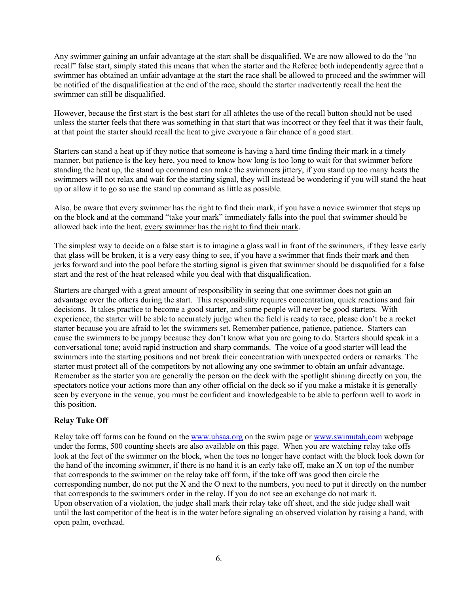Any swimmer gaining an unfair advantage at the start shall be disqualified. We are now allowed to do the "no recall" false start, simply stated this means that when the starter and the Referee both independently agree that a swimmer has obtained an unfair advantage at the start the race shall be allowed to proceed and the swimmer will be notified of the disqualification at the end of the race, should the starter inadvertently recall the heat the swimmer can still be disqualified.

However, because the first start is the best start for all athletes the use of the recall button should not be used unless the starter feels that there was something in that start that was incorrect or they feel that it was their fault, at that point the starter should recall the heat to give everyone a fair chance of a good start.

Starters can stand a heat up if they notice that someone is having a hard time finding their mark in a timely manner, but patience is the key here, you need to know how long is too long to wait for that swimmer before standing the heat up, the stand up command can make the swimmers jittery, if you stand up too many heats the swimmers will not relax and wait for the starting signal, they will instead be wondering if you will stand the heat up or allow it to go so use the stand up command as little as possible.

Also, be aware that every swimmer has the right to find their mark, if you have a novice swimmer that steps up on the block and at the command "take your mark" immediately falls into the pool that swimmer should be allowed back into the heat, every swimmer has the right to find their mark.

The simplest way to decide on a false start is to imagine a glass wall in front of the swimmers, if they leave early that glass will be broken, it is a very easy thing to see, if you have a swimmer that finds their mark and then jerks forward and into the pool before the starting signal is given that swimmer should be disqualified for a false start and the rest of the heat released while you deal with that disqualification.

Starters are charged with a great amount of responsibility in seeing that one swimmer does not gain an advantage over the others during the start. This responsibility requires concentration, quick reactions and fair decisions. It takes practice to become a good starter, and some people will never be good starters. With experience, the starter will be able to accurately judge when the field is ready to race, please don't be a rocket starter because you are afraid to let the swimmers set. Remember patience, patience, patience. Starters can cause the swimmers to be jumpy because they don't know what you are going to do. Starters should speak in a conversational tone; avoid rapid instruction and sharp commands. The voice of a good starter will lead the swimmers into the starting positions and not break their concentration with unexpected orders or remarks. The starter must protect all of the competitors by not allowing any one swimmer to obtain an unfair advantage. Remember as the starter you are generally the person on the deck with the spotlight shining directly on you, the spectators notice your actions more than any other official on the deck so if you make a mistake it is generally seen by everyone in the venue, you must be confident and knowledgeable to be able to perform well to work in this position.

#### **Relay Take Off**

Relay take off forms can be found on the www.uhsaa.org on the swim page or www.swimutah.com webpage under the forms, 500 counting sheets are also available on this page. When you are watching relay take offs look at the feet of the swimmer on the block, when the toes no longer have contact with the block look down for the hand of the incoming swimmer, if there is no hand it is an early take off, make an X on top of the number that corresponds to the swimmer on the relay take off form, if the take off was good then circle the corresponding number, do not put the X and the O next to the numbers, you need to put it directly on the number that corresponds to the swimmers order in the relay. If you do not see an exchange do not mark it. Upon observation of a violation, the judge shall mark their relay take off sheet, and the side judge shall wait until the last competitor of the heat is in the water before signaling an observed violation by raising a hand, with open palm, overhead.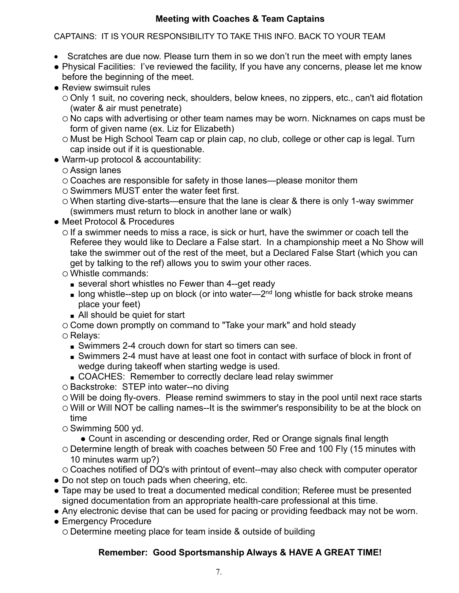## **Meeting with Coaches & Team Captains**

## CAPTAINS: IT IS YOUR RESPONSIBILITY TO TAKE THIS INFO. BACK TO YOUR TEAM

- Scratches are due now. Please turn them in so we don't run the meet with empty lanes
- Physical Facilities: I've reviewed the facility, If you have any concerns, please let me know before the beginning of the meet.
- Review swimsuit rules
	- Only 1 suit, no covering neck, shoulders, below knees, no zippers, etc., can't aid flotation (water & air must penetrate)
	- o No caps with advertising or other team names may be worn. Nicknames on caps must be form of given name (ex. Liz for Elizabeth)
	- o Must be High School Team cap or plain cap, no club, college or other cap is legal. Turn cap inside out if it is questionable.
- Warm-up protocol & accountability:
	- Assign lanes
	- $\circ$  Coaches are responsible for safety in those lanes—please monitor them
	- $\circ$  Swimmers MUST enter the water feet first.
	- When starting dive-starts—ensure that the lane is clear & there is only 1-way swimmer (swimmers must return to block in another lane or walk)
- Meet Protocol & Procedures
	- $\circ$  If a swimmer needs to miss a race, is sick or hurt, have the swimmer or coach tell the Referee they would like to Declare a False start. In a championship meet a No Show will take the swimmer out of the rest of the meet, but a Declared False Start (which you can get by talking to the ref) allows you to swim your other races.
	- Whistle commands:
		- several short whistles no Fewer than 4--get ready
		- $\blacksquare$  long whistle--step up on block (or into water—2<sup>nd</sup> long whistle for back stroke means place your feet)
		- All should be quiet for start
	- Come down promptly on command to "Take your mark" and hold steady
	- Relays:
		- Swimmers 2-4 crouch down for start so timers can see.
		- Swimmers 2-4 must have at least one foot in contact with surface of block in front of wedge during takeoff when starting wedge is used.
		- COACHES: Remember to correctly declare lead relay swimmer
	- O Backstroke: STEP into water--no diving
	- Will be doing fly-overs. Please remind swimmers to stay in the pool until next race starts
	- Will or Will NOT be calling names--It is the swimmer's responsibility to be at the block on time
	- $\circ$  Swimming 500 yd.
		- Count in ascending or descending order, Red or Orange signals final length
	- Determine length of break with coaches between 50 Free and 100 Fly (15 minutes with 10 minutes warm up?)

 Coaches notified of DQ's with printout of event--may also check with computer operator • Do not step on touch pads when cheering, etc.

- Tape may be used to treat a documented medical condition; Referee must be presented signed documentation from an appropriate health-care professional at this time.
- Any electronic devise that can be used for pacing or providing feedback may not be worn.
- Emergency Procedure Determine meeting place for team inside & outside of building

# **Remember: Good Sportsmanship Always & HAVE A GREAT TIME!**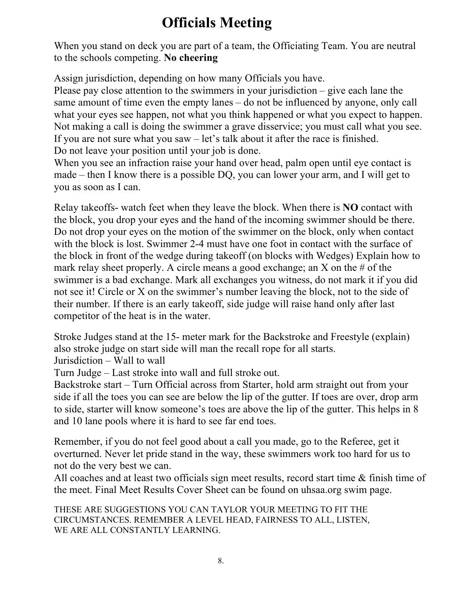# **Officials Meeting**

When you stand on deck you are part of a team, the Officiating Team. You are neutral to the schools competing. **No cheering**

Assign jurisdiction, depending on how many Officials you have.

Please pay close attention to the swimmers in your jurisdiction – give each lane the same amount of time even the empty lanes – do not be influenced by anyone, only call what your eyes see happen, not what you think happened or what you expect to happen. Not making a call is doing the swimmer a grave disservice; you must call what you see. If you are not sure what you saw – let's talk about it after the race is finished. Do not leave your position until your job is done.

When you see an infraction raise your hand over head, palm open until eye contact is made – then I know there is a possible DQ, you can lower your arm, and I will get to you as soon as I can.

Relay takeoffs- watch feet when they leave the block. When there is **NO** contact with the block, you drop your eyes and the hand of the incoming swimmer should be there. Do not drop your eyes on the motion of the swimmer on the block, only when contact with the block is lost. Swimmer 2-4 must have one foot in contact with the surface of the block in front of the wedge during takeoff (on blocks with Wedges) Explain how to mark relay sheet properly. A circle means a good exchange; an X on the  $\#$  of the swimmer is a bad exchange. Mark all exchanges you witness, do not mark it if you did not see it! Circle or X on the swimmer's number leaving the block, not to the side of their number. If there is an early takeoff, side judge will raise hand only after last competitor of the heat is in the water.

Stroke Judges stand at the 15- meter mark for the Backstroke and Freestyle (explain) also stroke judge on start side will man the recall rope for all starts. Jurisdiction – Wall to wall

Turn Judge – Last stroke into wall and full stroke out.

Backstroke start – Turn Official across from Starter, hold arm straight out from your side if all the toes you can see are below the lip of the gutter. If toes are over, drop arm to side, starter will know someone's toes are above the lip of the gutter. This helps in 8 and 10 lane pools where it is hard to see far end toes.

Remember, if you do not feel good about a call you made, go to the Referee, get it overturned. Never let pride stand in the way, these swimmers work too hard for us to not do the very best we can.

All coaches and at least two officials sign meet results, record start time & finish time of the meet. Final Meet Results Cover Sheet can be found on uhsaa.org swim page.

THESE ARE SUGGESTIONS YOU CAN TAYLOR YOUR MEETING TO FIT THE CIRCUMSTANCES. REMEMBER A LEVEL HEAD, FAIRNESS TO ALL, LISTEN, WE ARE ALL CONSTANTLY LEARNING.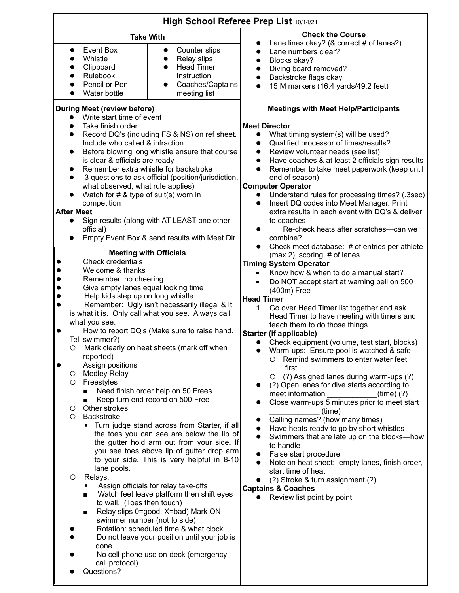| High School Referee Prep List 10/14/21                                                                                                                                                                                                                                                                                                                                                                                                                                                                                                                                                                                                                                                                                                                                                                                                                                                                                                                                                                                                                                                                                                                                                                                                                |                                                                                                                                |                                                                                                                                                                                                                                                                                                                                                                                                                                                                                                                                                                                                                                                                                                                                                                                                                                                                                                                                                                                                                                                                                                                                                                                                                                                                                                                                                                                                                                                                                                                                                                                                                                                                                                        |
|-------------------------------------------------------------------------------------------------------------------------------------------------------------------------------------------------------------------------------------------------------------------------------------------------------------------------------------------------------------------------------------------------------------------------------------------------------------------------------------------------------------------------------------------------------------------------------------------------------------------------------------------------------------------------------------------------------------------------------------------------------------------------------------------------------------------------------------------------------------------------------------------------------------------------------------------------------------------------------------------------------------------------------------------------------------------------------------------------------------------------------------------------------------------------------------------------------------------------------------------------------|--------------------------------------------------------------------------------------------------------------------------------|--------------------------------------------------------------------------------------------------------------------------------------------------------------------------------------------------------------------------------------------------------------------------------------------------------------------------------------------------------------------------------------------------------------------------------------------------------------------------------------------------------------------------------------------------------------------------------------------------------------------------------------------------------------------------------------------------------------------------------------------------------------------------------------------------------------------------------------------------------------------------------------------------------------------------------------------------------------------------------------------------------------------------------------------------------------------------------------------------------------------------------------------------------------------------------------------------------------------------------------------------------------------------------------------------------------------------------------------------------------------------------------------------------------------------------------------------------------------------------------------------------------------------------------------------------------------------------------------------------------------------------------------------------------------------------------------------------|
| <b>Take With</b>                                                                                                                                                                                                                                                                                                                                                                                                                                                                                                                                                                                                                                                                                                                                                                                                                                                                                                                                                                                                                                                                                                                                                                                                                                      |                                                                                                                                | <b>Check the Course</b><br>Lane lines okay? (& correct # of lanes?)                                                                                                                                                                                                                                                                                                                                                                                                                                                                                                                                                                                                                                                                                                                                                                                                                                                                                                                                                                                                                                                                                                                                                                                                                                                                                                                                                                                                                                                                                                                                                                                                                                    |
| Event Box<br>$\bullet$<br>Whistle<br>Clipboard<br>Rulebook<br>Pencil or Pen<br>Water bottle                                                                                                                                                                                                                                                                                                                                                                                                                                                                                                                                                                                                                                                                                                                                                                                                                                                                                                                                                                                                                                                                                                                                                           | Counter slips<br>$\bullet$<br>Relay slips<br>$\bullet$<br><b>Head Timer</b><br>Instruction<br>Coaches/Captains<br>meeting list | Lane numbers clear?<br>$\bullet$<br>Blocks okay?<br>Diving board removed?<br>Backstroke flags okay<br>15 M markers (16.4 yards/49.2 feet)<br>$\bullet$                                                                                                                                                                                                                                                                                                                                                                                                                                                                                                                                                                                                                                                                                                                                                                                                                                                                                                                                                                                                                                                                                                                                                                                                                                                                                                                                                                                                                                                                                                                                                 |
| <b>During Meet (review before)</b>                                                                                                                                                                                                                                                                                                                                                                                                                                                                                                                                                                                                                                                                                                                                                                                                                                                                                                                                                                                                                                                                                                                                                                                                                    |                                                                                                                                | <b>Meetings with Meet Help/Participants</b>                                                                                                                                                                                                                                                                                                                                                                                                                                                                                                                                                                                                                                                                                                                                                                                                                                                                                                                                                                                                                                                                                                                                                                                                                                                                                                                                                                                                                                                                                                                                                                                                                                                            |
| Write start time of event<br>Take finish order<br>Record DQ's (including FS & NS) on ref sheet.<br>Include who called & infraction<br>Before blowing long whistle ensure that course<br>is clear & officials are ready<br>Remember extra whistle for backstroke<br>3 questions to ask official (position/jurisdiction,<br>what observed, what rule applies)<br>Watch for $# 8$ type of suit(s) worn in<br>competition<br><b>After Meet</b><br>Sign results (along with AT LEAST one other<br>official)                                                                                                                                                                                                                                                                                                                                                                                                                                                                                                                                                                                                                                                                                                                                                |                                                                                                                                | <b>Meet Director</b><br>What timing system(s) will be used?<br>Qualified processor of times/results?<br>Review volunteer needs (see list)<br>$\bullet$<br>Have coaches & at least 2 officials sign results<br>$\bullet$<br>Remember to take meet paperwork (keep until<br>$\bullet$<br>end of season)<br><b>Computer Operator</b><br>Understand rules for processing times? (.3sec)<br>Insert DQ codes into Meet Manager. Print<br>$\bullet$<br>extra results in each event with DQ's & deliver<br>to coaches<br>Re-check heats after scratches-can we<br>combine?<br>Check meet database: # of entries per athlete<br>$\bullet$<br>$(max 2)$ , scoring, # of lanes<br><b>Timing System Operator</b><br>Know how & when to do a manual start?<br>Do NOT accept start at warning bell on 500<br>(400m) Free<br><b>Head Timer</b><br>1. Go over Head Timer list together and ask<br>Head Timer to have meeting with timers and<br>teach them to do those things.<br><b>Starter (if applicable)</b><br>Check equipment (volume, test start, blocks)<br>$\bullet$<br>Warm-ups: Ensure pool is watched & safe<br>Remind swimmers to enter water feet<br>first.<br>(?) Assigned lanes during warm-ups (?)<br>O<br>(?) Open lanes for dive starts according to<br>meet information<br>$(time)$ $(?)$<br>Close warm-ups 5 minutes prior to meet start<br>(time)<br>Calling names? (how many times)<br>Have heats ready to go by short whistles<br>Swimmers that are late up on the blocks-how<br>to handle<br>False start procedure<br>Note on heat sheet: empty lanes, finish order,<br>start time of heat<br>(?) Stroke & turn assignment (?)<br><b>Captains &amp; Coaches</b><br>Review list point by point |
| Empty Event Box & send results with Meet Dir.<br><b>Meeting with Officials</b><br><b>Check credentials</b><br>Welcome & thanks<br>Remember: no cheering<br>Give empty lanes equal looking time<br>Help kids step up on long whistle<br>Remember: Ugly isn't necessarily illegal & It<br>is what it is. Only call what you see. Always call<br>what you see.<br>How to report DQ's (Make sure to raise hand.<br>Tell swimmer?)<br>O Mark clearly on heat sheets (mark off when<br>reported)<br>Assign positions<br><b>Medley Relay</b><br>O<br>Freestyles<br>O<br>Need finish order help on 50 Frees<br>Keep turn end record on 500 Free<br>Other strokes<br>O<br>Backstroke<br>Ο<br>Turn judge stand across from Starter, if all<br>the toes you can see are below the lip of<br>the gutter hold arm out from your side. If<br>you see toes above lip of gutter drop arm<br>to your side. This is very helpful in 8-10<br>lane pools.<br>Relays:<br>O<br>Assign officials for relay take-offs<br>Watch feet leave platform then shift eyes<br>to wall. (Toes then touch)<br>Relay slips 0=good, X=bad) Mark ON<br>п<br>swimmer number (not to side)<br>Rotation: scheduled time & what clock<br>Do not leave your position until your job is<br>done. |                                                                                                                                |                                                                                                                                                                                                                                                                                                                                                                                                                                                                                                                                                                                                                                                                                                                                                                                                                                                                                                                                                                                                                                                                                                                                                                                                                                                                                                                                                                                                                                                                                                                                                                                                                                                                                                        |

• Questions?